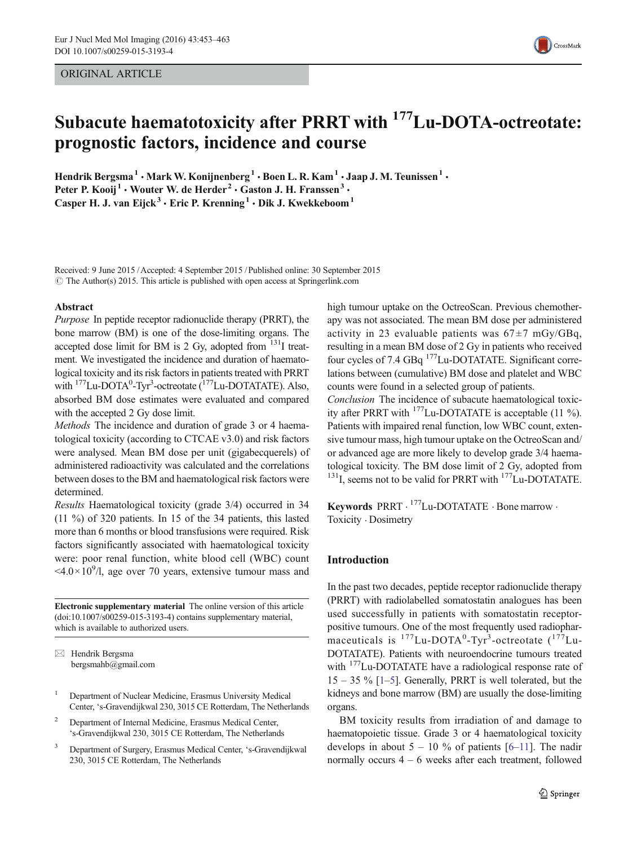ORIGINAL ARTICLE



# Subacute haematotoxicity after PRRT with <sup>177</sup>Lu-DOTA-octreotate: prognostic factors, incidence and course

Hendrik Bergsma<sup>1</sup> • Mark W. Konijnenberg<sup>1</sup> • Boen L. R. Kam<sup>1</sup> • Jaap J. M. Teunissen<sup>1</sup> • Peter P. Kooij<sup>1</sup> • Wouter W. de Herder<sup>2</sup> • Gaston J. H. Franssen<sup>3</sup> • Casper H. J. van Eijck<sup>3</sup> · Eric P. Krenning<sup>1</sup> · Dik J. Kwekkeboom<sup>1</sup>

Received: 9 June 2015 /Accepted: 4 September 2015 / Published online: 30 September 2015  $\odot$  The Author(s) 2015. This article is published with open access at Springerlink.com

#### Abstract

Purpose In peptide receptor radionuclide therapy (PRRT), the bone marrow (BM) is one of the dose-limiting organs. The accepted dose limit for BM is 2 Gy, adopted from  $131$  treatment. We investigated the incidence and duration of haematological toxicity and its risk factors in patients treated with PRRT with <sup>177</sup>Lu-DOTA<sup>0</sup>-Tyr<sup>3</sup>-octreotate (<sup>177</sup>Lu-DOTATATE). Also, absorbed BM dose estimates were evaluated and compared with the accepted 2 Gy dose limit.

Methods The incidence and duration of grade 3 or 4 haematological toxicity (according to CTCAE v3.0) and risk factors were analysed. Mean BM dose per unit (gigabecquerels) of administered radioactivity was calculated and the correlations between doses to the BM and haematological risk factors were determined.

Results Haematological toxicity (grade 3/4) occurred in 34 (11 %) of 320 patients. In 15 of the 34 patients, this lasted more than 6 months or blood transfusions were required. Risk factors significantly associated with haematological toxicity were: poor renal function, white blood cell (WBC) count  $\langle 4.0 \times 10^9 / 1$ , age over 70 years, extensive tumour mass and

Electronic supplementary material The online version of this article (doi[:10.1007/s00259-015-3193-4](http://dx.doi.org/10.1007/s00259-015-3193-4)) contains supplementary material, which is available to authorized users.

 $\boxtimes$  Hendrik Bergsma bergsmahb@gmail.com

- <sup>1</sup> Department of Nuclear Medicine, Erasmus University Medical Center, 's-Gravendijkwal 230, 3015 CE Rotterdam, The Netherlands
- <sup>2</sup> Department of Internal Medicine, Erasmus Medical Center, 's-Gravendijkwal 230, 3015 CE Rotterdam, The Netherlands
- <sup>3</sup> Department of Surgery, Erasmus Medical Center, 's-Gravendijkwal 230, 3015 CE Rotterdam, The Netherlands

high tumour uptake on the OctreoScan. Previous chemotherapy was not associated. The mean BM dose per administered activity in 23 evaluable patients was  $67 \pm 7$  mGy/GBq, resulting in a mean BM dose of 2 Gy in patients who received four cycles of 7.4 GBq 177Lu-DOTATATE. Significant correlations between (cumulative) BM dose and platelet and WBC counts were found in a selected group of patients.

Conclusion The incidence of subacute haematological toxicity after PRRT with  $177$ Lu-DOTATATE is acceptable (11 %). Patients with impaired renal function, low WBC count, extensive tumour mass, high tumour uptake on the OctreoScan and/ or advanced age are more likely to develop grade 3/4 haematological toxicity. The BM dose limit of 2 Gy, adopted from  $^{131}$ I, seems not to be valid for PRRT with  $^{177}$ Lu-DOTATATE.

Keywords PRRT . <sup>177</sup>Lu-DOTATATE . Bone marrow . Toxicity . Dosimetry

## Introduction

In the past two decades, peptide receptor radionuclide therapy (PRRT) with radiolabelled somatostatin analogues has been used successfully in patients with somatostatin receptorpositive tumours. One of the most frequently used radiopharmaceuticals is  $^{177}$ Lu-DOTA<sup>0</sup>-Tyr<sup>3</sup>-octreotate  $(^{177}$ Lu-DOTATATE). Patients with neuroendocrine tumours treated with <sup>177</sup>Lu-DOTATATE have a radiological response rate of 15 – 35 % [[1](#page-8-0)–[5\]](#page-9-0). Generally, PRRT is well tolerated, but the kidneys and bone marrow (BM) are usually the dose-limiting organs.

BM toxicity results from irradiation of and damage to haematopoietic tissue. Grade 3 or 4 haematological toxicity develops in about  $5 - 10\%$  of patients [[6](#page-9-0)–[11](#page-9-0)]. The nadir normally occurs 4 – 6 weeks after each treatment, followed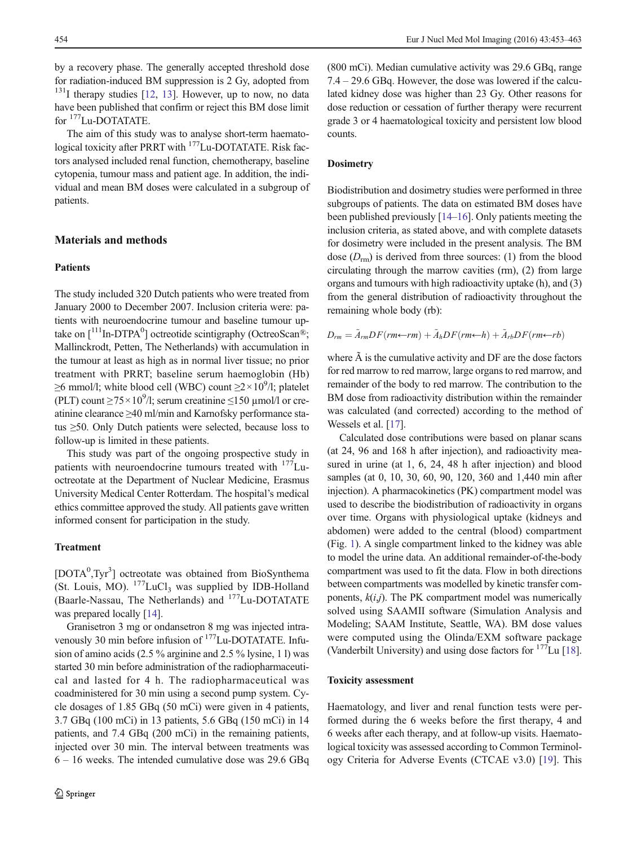by a recovery phase. The generally accepted threshold dose for radiation-induced BM suppression is 2 Gy, adopted from  $131$  $131$ I therapy studies [\[12](#page-9-0), 13]. However, up to now, no data have been published that confirm or reject this BM dose limit for  $177$ Lu-DOTATATE.

The aim of this study was to analyse short-term haematological toxicity after PRRT with <sup>177</sup>Lu-DOTATATE. Risk factors analysed included renal function, chemotherapy, baseline cytopenia, tumour mass and patient age. In addition, the individual and mean BM doses were calculated in a subgroup of patients.

# Materials and methods

## Patients

The study included 320 Dutch patients who were treated from January 2000 to December 2007. Inclusion criteria were: patients with neuroendocrine tumour and baseline tumour uptake on  $\left[111\text{In-DTPA}^0\right]$  octreotide scintigraphy (OctreoScan®; Mallinckrodt, Petten, The Netherlands) with accumulation in the tumour at least as high as in normal liver tissue; no prior treatment with PRRT; baseline serum haemoglobin (Hb)  $\geq$ 6 mmol/l; white blood cell (WBC) count  $\geq$ 2×10<sup>9</sup>/l; platelet (PLT) count  $\geq$ 75 × 10<sup>9</sup>/l; serum creatinine  $\leq$ 150 µmol/l or creatinine clearance ≥40 ml/min and Karnofsky performance status ≥50. Only Dutch patients were selected, because loss to follow-up is limited in these patients.

This study was part of the ongoing prospective study in patients with neuroendocrine tumours treated with <sup>177</sup>Luoctreotate at the Department of Nuclear Medicine, Erasmus University Medical Center Rotterdam. The hospital's medical ethics committee approved the study. All patients gave written informed consent for participation in the study.

# Treatment

[DOTA<sup>0</sup>,Tyr<sup>3</sup>] octreotate was obtained from BioSynthema (St. Louis, MO).  $177$ LuCl<sub>3</sub> was supplied by IDB-Holland (Baarle-Nassau, The Netherlands) and <sup>177</sup>Lu-DOTATATE was prepared locally [\[14\]](#page-9-0).

Granisetron 3 mg or ondansetron 8 mg was injected intravenously 30 min before infusion of <sup>177</sup>Lu-DOTATATE. Infusion of amino acids (2.5 % arginine and 2.5 % lysine, 1 l) was started 30 min before administration of the radiopharmaceutical and lasted for 4 h. The radiopharmaceutical was coadministered for 30 min using a second pump system. Cycle dosages of 1.85 GBq (50 mCi) were given in 4 patients, 3.7 GBq (100 mCi) in 13 patients, 5.6 GBq (150 mCi) in 14 patients, and 7.4 GBq (200 mCi) in the remaining patients, injected over 30 min. The interval between treatments was 6 – 16 weeks. The intended cumulative dose was 29.6 GBq (800 mCi). Median cumulative activity was 29.6 GBq, range 7.4 – 29.6 GBq. However, the dose was lowered if the calculated kidney dose was higher than 23 Gy. Other reasons for dose reduction or cessation of further therapy were recurrent grade 3 or 4 haematological toxicity and persistent low blood counts.

## **Dosimetry**

Biodistribution and dosimetry studies were performed in three subgroups of patients. The data on estimated BM doses have been published previously [[14](#page-9-0)–[16](#page-9-0)]. Only patients meeting the inclusion criteria, as stated above, and with complete datasets for dosimetry were included in the present analysis. The BM dose  $(D<sub>rm</sub>)$  is derived from three sources: (1) from the blood circulating through the marrow cavities (rm), (2) from large organs and tumours with high radioactivity uptake (h), and (3) from the general distribution of radioactivity throughout the remaining whole body (rb):

$$
D_{rm} = \tilde{A}_{rm} DF(rm \leftarrow rm) + \tilde{A}_{h} DF(rm \leftarrow h) + \tilde{A}_{rb} DF(rm \leftarrow rb)
$$

where  $\tilde{A}$  is the cumulative activity and DF are the dose factors for red marrow to red marrow, large organs to red marrow, and remainder of the body to red marrow. The contribution to the BM dose from radioactivity distribution within the remainder was calculated (and corrected) according to the method of Wessels et al. [\[17](#page-9-0)].

Calculated dose contributions were based on planar scans (at 24, 96 and 168 h after injection), and radioactivity measured in urine (at 1, 6, 24, 48 h after injection) and blood samples (at 0, 10, 30, 60, 90, 120, 360 and 1,440 min after injection). A pharmacokinetics (PK) compartment model was used to describe the biodistribution of radioactivity in organs over time. Organs with physiological uptake (kidneys and abdomen) were added to the central (blood) compartment (Fig. [1](#page-2-0)). A single compartment linked to the kidney was able to model the urine data. An additional remainder-of-the-body compartment was used to fit the data. Flow in both directions between compartments was modelled by kinetic transfer components,  $k(i,j)$ . The PK compartment model was numerically solved using SAAMII software (Simulation Analysis and Modeling; SAAM Institute, Seattle, WA). BM dose values were computed using the Olinda/EXM software package (Vanderbilt University) and using dose factors for  $177$ Lu [[18\]](#page-9-0).

#### Toxicity assessment

Haematology, and liver and renal function tests were performed during the 6 weeks before the first therapy, 4 and 6 weeks after each therapy, and at follow-up visits. Haematological toxicity was assessed according to Common Terminology Criteria for Adverse Events (CTCAE v3.0) [\[19](#page-9-0)]. This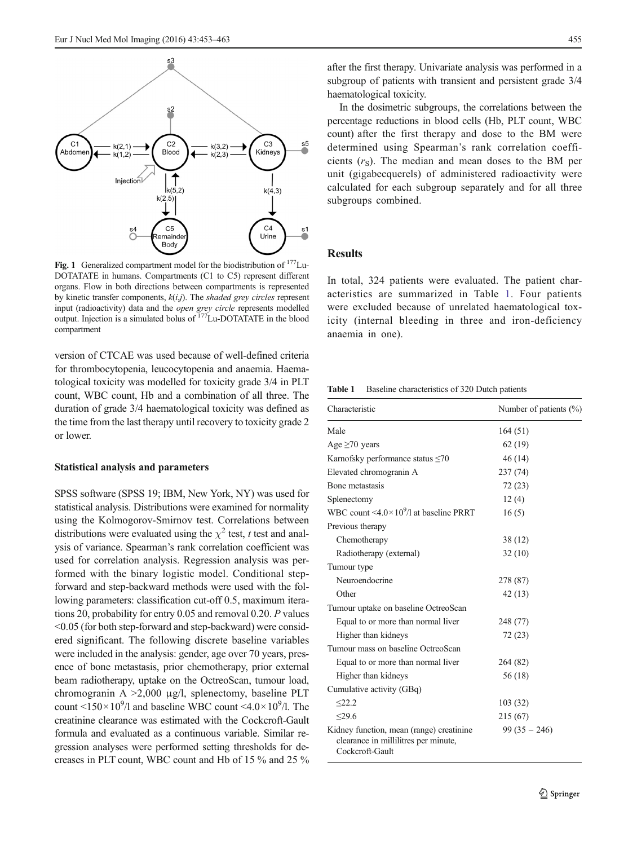<span id="page-2-0"></span>

Fig. 1 Generalized compartment model for the biodistribution of  $177$ Lu-DOTATATE in humans. Compartments (C1 to C5) represent different organs. Flow in both directions between compartments is represented by kinetic transfer components,  $k(i,j)$ . The shaded grey circles represent input (radioactivity) data and the *open grey circle* represents modelled output. Injection is a simulated bolus of <sup>177</sup>Lu-DOTATATE in the blood compartment

version of CTCAE was used because of well-defined criteria for thrombocytopenia, leucocytopenia and anaemia. Haematological toxicity was modelled for toxicity grade 3/4 in PLT count, WBC count, Hb and a combination of all three. The duration of grade 3/4 haematological toxicity was defined as the time from the last therapy until recovery to toxicity grade 2 or lower.

#### Statistical analysis and parameters

SPSS software (SPSS 19; IBM, New York, NY) was used for statistical analysis. Distributions were examined for normality using the Kolmogorov-Smirnov test. Correlations between distributions were evaluated using the  $\chi^2$  test, t test and analysis of variance. Spearman's rank correlation coefficient was used for correlation analysis. Regression analysis was performed with the binary logistic model. Conditional stepforward and step-backward methods were used with the following parameters: classification cut-off 0.5, maximum iterations 20, probability for entry 0.05 and removal 0.20. P values <0.05 (for both step-forward and step-backward) were considered significant. The following discrete baseline variables were included in the analysis: gender, age over 70 years, presence of bone metastasis, prior chemotherapy, prior external beam radiotherapy, uptake on the OctreoScan, tumour load, chromogranin A  $>2,000$  μg/l, splenectomy, baseline PLT count  $\langle 150 \times 10^9 / 1$  and baseline WBC count  $\langle 4.0 \times 10^9 / 1$ . The creatinine clearance was estimated with the Cockcroft-Gault formula and evaluated as a continuous variable. Similar regression analyses were performed setting thresholds for decreases in PLT count, WBC count and Hb of 15 % and 25 %

after the first therapy. Univariate analysis was performed in a subgroup of patients with transient and persistent grade 3/4 haematological toxicity.

In the dosimetric subgroups, the correlations between the percentage reductions in blood cells (Hb, PLT count, WBC count) after the first therapy and dose to the BM were determined using Spearman's rank correlation coefficients  $(r<sub>S</sub>)$ . The median and mean doses to the BM per unit (gigabecquerels) of administered radioactivity were calculated for each subgroup separately and for all three subgroups combined.

# **Results**

In total, 324 patients were evaluated. The patient characteristics are summarized in Table 1. Four patients were excluded because of unrelated haematological toxicity (internal bleeding in three and iron-deficiency anaemia in one).

Table 1 Baseline characteristics of 320 Dutch patients

| Characteristic                                                                                      | Number of patients $(\% )$ |  |  |
|-----------------------------------------------------------------------------------------------------|----------------------------|--|--|
| Male                                                                                                | 164(51)                    |  |  |
| Age $\geq 70$ years                                                                                 | 62(19)                     |  |  |
| Karnofsky performance status $\leq 70$                                                              | 46 (14)                    |  |  |
| Elevated chromogranin A                                                                             | 237(74)                    |  |  |
| Bone metastasis                                                                                     | 72(23)                     |  |  |
| Splenectomy                                                                                         | 12(4)                      |  |  |
| WBC count $\leq 4.0 \times 10^9$ /l at baseline PRRT                                                | 16(5)                      |  |  |
| Previous therapy                                                                                    |                            |  |  |
| Chemotherapy                                                                                        | 38 (12)                    |  |  |
| Radiotherapy (external)                                                                             | 32(10)                     |  |  |
| Tumour type                                                                                         |                            |  |  |
| Neuroendocrine                                                                                      | 278 (87)                   |  |  |
| Other                                                                                               | 42 (13)                    |  |  |
| Tumour uptake on baseline OctreoScan                                                                |                            |  |  |
| Equal to or more than normal liver                                                                  | 248 (77)                   |  |  |
| Higher than kidneys                                                                                 | 72 (23)                    |  |  |
| Tumour mass on baseline OctreoScan                                                                  |                            |  |  |
| Equal to or more than normal liver                                                                  | 264 (82)                   |  |  |
| Higher than kidneys                                                                                 | 56 (18)                    |  |  |
| Cumulative activity (GBq)                                                                           |                            |  |  |
| < 22.2                                                                                              | 103(32)                    |  |  |
| < 29.6                                                                                              | 215 (67)                   |  |  |
| Kidney function, mean (range) creatinine<br>clearance in millilitres per minute,<br>Cockcroft-Gault | $99(35 - 246)$             |  |  |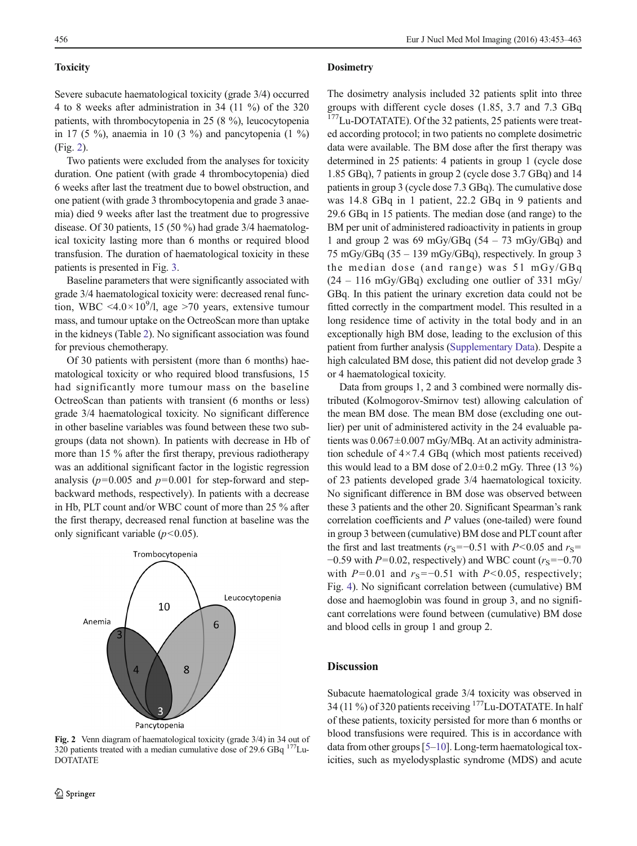# **Toxicity**

Severe subacute haematological toxicity (grade 3/4) occurred 4 to 8 weeks after administration in 34 (11 %) of the 320 patients, with thrombocytopenia in 25 (8 %), leucocytopenia in 17 (5 %), anaemia in 10 (3 %) and pancytopenia (1 %) (Fig. 2).

Two patients were excluded from the analyses for toxicity duration. One patient (with grade 4 thrombocytopenia) died 6 weeks after last the treatment due to bowel obstruction, and one patient (with grade 3 thrombocytopenia and grade 3 anaemia) died 9 weeks after last the treatment due to progressive disease. Of 30 patients, 15 (50 %) had grade 3/4 haematological toxicity lasting more than 6 months or required blood transfusion. The duration of haematological toxicity in these patients is presented in Fig. [3](#page-4-0).

Baseline parameters that were significantly associated with grade 3/4 haematological toxicity were: decreased renal function, WBC <4.0 $\times$ 10<sup>9</sup>/l, age >70 years, extensive tumour mass, and tumour uptake on the OctreoScan more than uptake in the kidneys (Table [2](#page-5-0)). No significant association was found for previous chemotherapy.

Of 30 patients with persistent (more than 6 months) haematological toxicity or who required blood transfusions, 15 had significantly more tumour mass on the baseline OctreoScan than patients with transient (6 months or less) grade 3/4 haematological toxicity. No significant difference in other baseline variables was found between these two subgroups (data not shown). In patients with decrease in Hb of more than 15 % after the first therapy, previous radiotherapy was an additional significant factor in the logistic regression analysis ( $p=0.005$  and  $p=0.001$  for step-forward and stepbackward methods, respectively). In patients with a decrease in Hb, PLT count and/or WBC count of more than 25 % after the first therapy, decreased renal function at baseline was the only significant variable  $(p<0.05)$ .



Fig. 2 Venn diagram of haematological toxicity (grade 3/4) in 34 out of 320 patients treated with a median cumulative dose of 29.6 GBq  $^{177}$ Lu-DOTATATE

#### **Dosimetry**

The dosimetry analysis included 32 patients split into three groups with different cycle doses (1.85, 3.7 and 7.3 GBq <sup>177</sup>Lu-DOTATATE). Of the 32 patients, 25 patients were treated according protocol; in two patients no complete dosimetric data were available. The BM dose after the first therapy was determined in 25 patients: 4 patients in group 1 (cycle dose 1.85 GBq), 7 patients in group 2 (cycle dose 3.7 GBq) and 14 patients in group 3 (cycle dose 7.3 GBq). The cumulative dose was 14.8 GBq in 1 patient, 22.2 GBq in 9 patients and 29.6 GBq in 15 patients. The median dose (and range) to the BM per unit of administered radioactivity in patients in group 1 and group 2 was 69 mGy/GBq  $(54 - 73 \text{ mGy/GBq})$  and 75 mGy/GBq (35 – 139 mGy/GBq), respectively. In group 3 the median dose (and range) was 51 mGy/GBq  $(24 - 116 \text{ mGy/GBq})$  excluding one outlier of 331 mGy/ GBq. In this patient the urinary excretion data could not be fitted correctly in the compartment model. This resulted in a long residence time of activity in the total body and in an exceptionally high BM dose, leading to the exclusion of this patient from further analysis (Supplementary Data). Despite a high calculated BM dose, this patient did not develop grade 3 or 4 haematological toxicity.

Data from groups 1, 2 and 3 combined were normally distributed (Kolmogorov-Smirnov test) allowing calculation of the mean BM dose. The mean BM dose (excluding one outlier) per unit of administered activity in the 24 evaluable patients was  $0.067 \pm 0.007$  mGy/MBq. At an activity administration schedule of  $4 \times 7.4$  GBq (which most patients received) this would lead to a BM dose of  $2.0\pm0.2$  mGy. Three (13 %) of 23 patients developed grade 3/4 haematological toxicity. No significant difference in BM dose was observed between these 3 patients and the other 20. Significant Spearman's rank correlation coefficients and P values (one-tailed) were found in group 3 between (cumulative) BM dose and PLT count after the first and last treatments ( $r<sub>S</sub>=-0.51$  with P<0.05 and  $r<sub>S</sub>=$  $-0.59$  with P=0.02, respectively) and WBC count ( $r_s=-0.70$ ) with  $P=0.01$  and  $r_s=-0.51$  with  $P<0.05$ , respectively; Fig. [4](#page-6-0)). No significant correlation between (cumulative) BM dose and haemoglobin was found in group 3, and no significant correlations were found between (cumulative) BM dose and blood cells in group 1 and group 2.

## Discussion

Subacute haematological grade 3/4 toxicity was observed in 34 (11 %) of 320 patients receiving 177Lu-DOTATATE. In half of these patients, toxicity persisted for more than 6 months or blood transfusions were required. This is in accordance with data from other groups [[5](#page-9-0)–[10](#page-9-0)]. Long-term haematological toxicities, such as myelodysplastic syndrome (MDS) and acute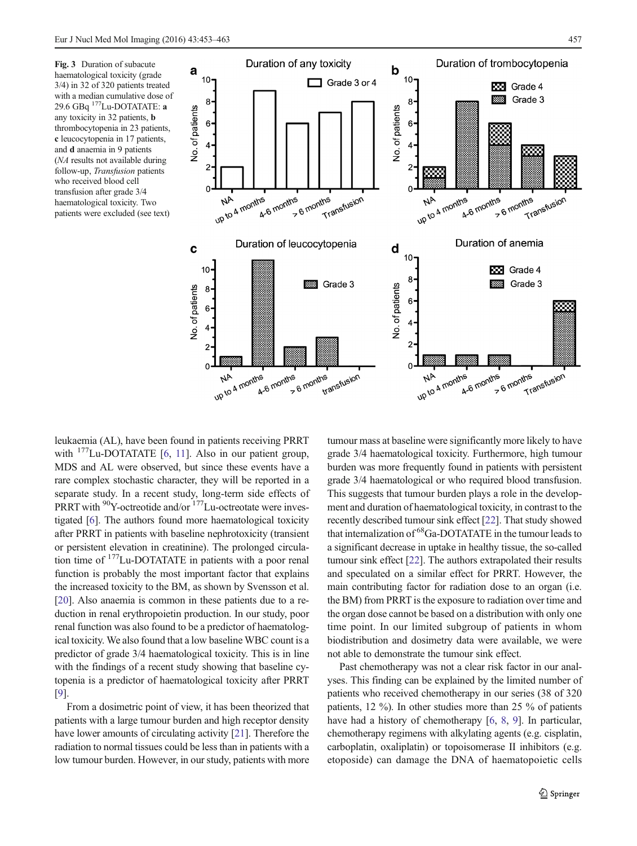<span id="page-4-0"></span>Fig. 3 Duration of subacute haematological toxicity (grade 3/4) in 32 of 320 patients treated with a median cumulative dose of 29.6 GBq 177Lu-DOTATATE: a any toxicity in 32 patients, b thrombocytopenia in 23 patients, c leucocytopenia in 17 patients, and d anaemia in 9 patients (NA results not available during follow-up, Transfusion patients who received blood cell transfusion after grade 3/4 haematological toxicity. Two patients were excluded (see text)



leukaemia (AL), have been found in patients receiving PRRT with  $177$ Lu-DOTATATE [\[6](#page-9-0), [11\]](#page-9-0). Also in our patient group, MDS and AL were observed, but since these events have a rare complex stochastic character, they will be reported in a separate study. In a recent study, long-term side effects of PRRT with <sup>90</sup>Y-octreotide and/or <sup>177</sup>Lu-octreotate were investigated [[6\]](#page-9-0). The authors found more haematological toxicity after PRRT in patients with baseline nephrotoxicity (transient or persistent elevation in creatinine). The prolonged circulation time of 177Lu-DOTATATE in patients with a poor renal function is probably the most important factor that explains the increased toxicity to the BM, as shown by Svensson et al. [\[20\]](#page-9-0). Also anaemia is common in these patients due to a reduction in renal erythropoietin production. In our study, poor renal function was also found to be a predictor of haematological toxicity. We also found that a low baseline WBC count is a predictor of grade 3/4 haematological toxicity. This is in line with the findings of a recent study showing that baseline cytopenia is a predictor of haematological toxicity after PRRT [\[9](#page-9-0)].

From a dosimetric point of view, it has been theorized that patients with a large tumour burden and high receptor density have lower amounts of circulating activity [\[21](#page-9-0)]. Therefore the radiation to normal tissues could be less than in patients with a low tumour burden. However, in our study, patients with more tumour mass at baseline were significantly more likely to have grade 3/4 haematological toxicity. Furthermore, high tumour burden was more frequently found in patients with persistent grade 3/4 haematological or who required blood transfusion. This suggests that tumour burden plays a role in the development and duration of haematological toxicity, in contrast to the recently described tumour sink effect [[22\]](#page-9-0). That study showed that internalization of 68Ga-DOTATATE in the tumour leads to a significant decrease in uptake in healthy tissue, the so-called tumour sink effect [[22](#page-9-0)]. The authors extrapolated their results and speculated on a similar effect for PRRT. However, the main contributing factor for radiation dose to an organ (i.e. the BM) from PRRT is the exposure to radiation over time and the organ dose cannot be based on a distribution with only one time point. In our limited subgroup of patients in whom biodistribution and dosimetry data were available, we were not able to demonstrate the tumour sink effect.

Past chemotherapy was not a clear risk factor in our analyses. This finding can be explained by the limited number of patients who received chemotherapy in our series (38 of 320 patients, 12 %). In other studies more than 25 % of patients have had a history of chemotherapy [[6,](#page-9-0) [8](#page-9-0), [9](#page-9-0)]. In particular, chemotherapy regimens with alkylating agents (e.g. cisplatin, carboplatin, oxaliplatin) or topoisomerase II inhibitors (e.g. etoposide) can damage the DNA of haematopoietic cells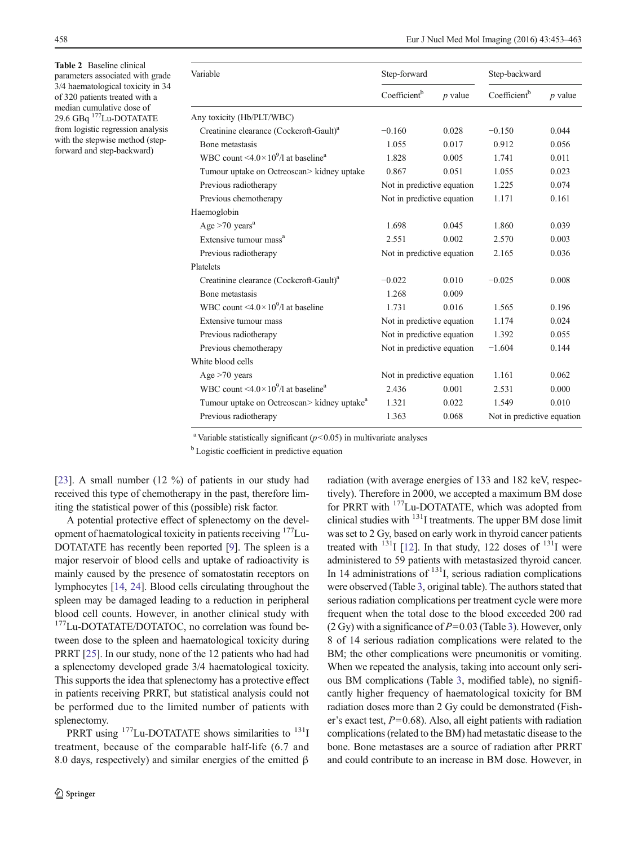<span id="page-5-0"></span>Table 2 Baseline clinical parameters associated with grade 3/4 haematological toxicity in 34 of 320 patients treated with a median cumulative dose of 29.6 GBq 177Lu-DOTATATE from logistic regression analysis with the stepwise method (stepforward and step-backward)

| Variable                                                     | Step-forward               |           | Step-backward              |           |
|--------------------------------------------------------------|----------------------------|-----------|----------------------------|-----------|
|                                                              | Coefficient <sup>b</sup>   | $p$ value | Coefficient <sup>b</sup>   | $p$ value |
| Any toxicity (Hb/PLT/WBC)                                    |                            |           |                            |           |
| Creatinine clearance (Cockcroft-Gault) <sup>a</sup>          | $-0.160$                   | 0.028     | $-0.150$                   | 0.044     |
| Bone metastasis                                              | 1.055                      | 0.017     | 0.912                      | 0.056     |
| WBC count $\leq 4.0 \times 10^9$ /l at baseline <sup>a</sup> | 1.828                      | 0.005     | 1.741                      | 0.011     |
| Tumour uptake on Octreoscan> kidney uptake                   | 0.867                      | 0.051     | 1.055                      | 0.023     |
| Previous radiotherapy                                        | Not in predictive equation |           |                            | 0.074     |
| Previous chemotherapy                                        | Not in predictive equation |           | 1.171                      | 0.161     |
| Haemoglobin                                                  |                            |           |                            |           |
| Age $>70$ years <sup>a</sup>                                 | 1.698                      | 0.045     | 1.860                      | 0.039     |
| Extensive tumour mass <sup>a</sup>                           | 2.551                      | 0.002     | 2.570                      | 0.003     |
| Previous radiotherapy                                        | Not in predictive equation |           | 2.165                      | 0.036     |
| Platelets                                                    |                            |           |                            |           |
| Creatinine clearance (Cockcroft-Gault) <sup>a</sup>          | $-0.022$                   | 0.010     | $-0.025$                   | 0.008     |
| Bone metastasis                                              | 1.268                      | 0.009     |                            |           |
| WBC count <4.0 $\times$ 10 <sup>9</sup> /l at baseline       | 1.731                      | 0.016     | 1.565                      | 0.196     |
| Extensive tumour mass                                        | Not in predictive equation |           | 1.174                      | 0.024     |
| Previous radiotherapy                                        | Not in predictive equation |           | 1.392                      | 0.055     |
| Previous chemotherapy                                        | Not in predictive equation |           | $-1.604$                   | 0.144     |
| White blood cells                                            |                            |           |                            |           |
| Age $>70$ years                                              | Not in predictive equation |           | 1.161                      | 0.062     |
| WBC count $\leq 4.0 \times 10^9$ /l at baseline <sup>a</sup> | 2.436                      | 0.001     | 2.531                      | 0.000     |
| Tumour uptake on Octreoscan> kidney uptake <sup>a</sup>      | 1.321                      | 0.022     | 1.549                      | 0.010     |
| Previous radiotherapy                                        | 1.363                      | 0.068     | Not in predictive equation |           |

<sup>a</sup> Variable statistically significant ( $p$ <0.05) in multivariate analyses

<sup>b</sup> Logistic coefficient in predictive equation

[\[23](#page-9-0)]. A small number (12 %) of patients in our study had received this type of chemotherapy in the past, therefore limiting the statistical power of this (possible) risk factor.

A potential protective effect of splenectomy on the development of haematological toxicity in patients receiving <sup>177</sup>Lu-DOTATATE has recently been reported [\[9](#page-9-0)]. The spleen is a major reservoir of blood cells and uptake of radioactivity is mainly caused by the presence of somatostatin receptors on lymphocytes [[14,](#page-9-0) [24\]](#page-9-0). Blood cells circulating throughout the spleen may be damaged leading to a reduction in peripheral blood cell counts. However, in another clinical study with <sup>177</sup>Lu-DOTATATE/DOTATOC, no correlation was found between dose to the spleen and haematological toxicity during PRRT [\[25](#page-9-0)]. In our study, none of the 12 patients who had had a splenectomy developed grade 3/4 haematological toxicity. This supports the idea that splenectomy has a protective effect in patients receiving PRRT, but statistical analysis could not be performed due to the limited number of patients with splenectomy.

PRRT using  $177$ Lu-DOTATATE shows similarities to  $131$ treatment, because of the comparable half-life (6.7 and 8.0 days, respectively) and similar energies of the emitted β

radiation (with average energies of 133 and 182 keV, respectively). Therefore in 2000, we accepted a maximum BM dose for PRRT with 177Lu-DOTATATE, which was adopted from clinical studies with 131I treatments. The upper BM dose limit was set to 2 Gy, based on early work in thyroid cancer patients treated with  $^{131}$ I [\[12](#page-9-0)]. In that study, 122 doses of  $^{131}$ I were administered to 59 patients with metastasized thyroid cancer. In 14 administrations of  $<sup>131</sup>I$ , serious radiation complications</sup> were observed (Table [3](#page-7-0), original table). The authors stated that serious radiation complications per treatment cycle were more frequent when the total dose to the blood exceeded 200 rad (2 Gy) with a significance of  $P=0.03$  (Table [3\)](#page-7-0). However, only 8 of 14 serious radiation complications were related to the BM; the other complications were pneumonitis or vomiting. When we repeated the analysis, taking into account only serious BM complications (Table [3,](#page-7-0) modified table), no significantly higher frequency of haematological toxicity for BM radiation doses more than 2 Gy could be demonstrated (Fisher's exact test,  $P=0.68$ ). Also, all eight patients with radiation complications (related to the BM) had metastatic disease to the bone. Bone metastases are a source of radiation after PRRT and could contribute to an increase in BM dose. However, in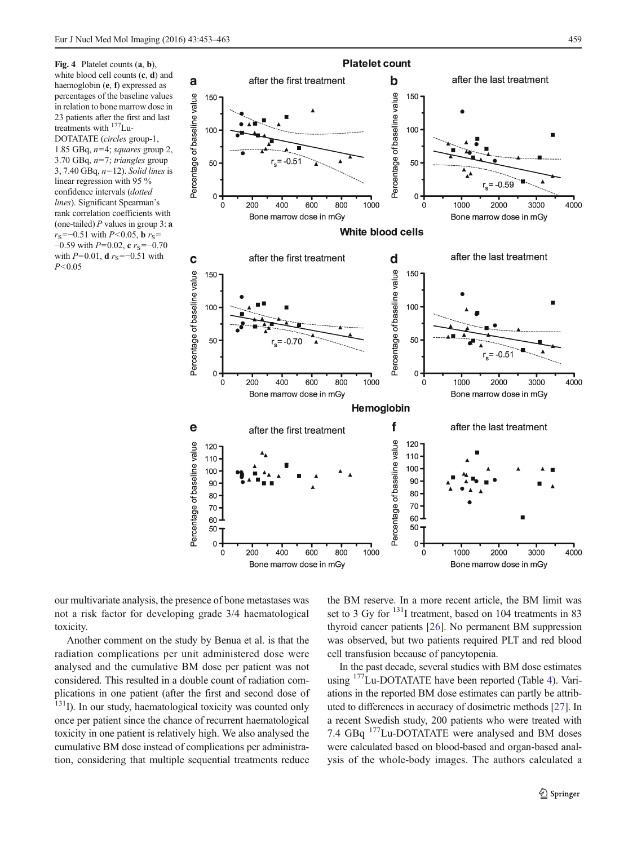<span id="page-6-0"></span>



our multivariate analysis, the presence of bone metastases was not a risk factor for developing grade 3/4 haematological toxicity.

Another comment on the study by Benua et al. is that the radiation complications per unit administered dose were analysed and the cumulative BM dose per patient was not considered. This resulted in a double count of radiation complications in one patient (after the first and second dose of <sup>131</sup>I). In our study, haematological toxicity was counted only once per patient since the chance of recurrent haematological toxicity in one patient is relatively high. We also analysed the cumulative BM dose instead of complications per administration, considering that multiple sequential treatments reduce the BM reserve. In a more recent article, the BM limit was set to 3 Gy for <sup>131</sup>I treatment, based on 104 treatments in 83 thyroid cancer patients [\[26\]](#page-9-0). No permanent BM suppression was observed, but two patients required PLT and red blood cell transfusion because of pancytopenia.

In the past decade, several studies with BM dose estimates using <sup>177</sup>Lu-DOTATATE have been reported (Table [4](#page-7-0)). Variations in the reported BM dose estimates can partly be attributed to differences in accuracy of dosimetric methods [\[27](#page-9-0)]. In a recent Swedish study, 200 patients who were treated with 7.4 GBq 177Lu-DOTATATE were analysed and BM doses were calculated based on blood-based and organ-based analysis of the whole-body images. The authors calculated a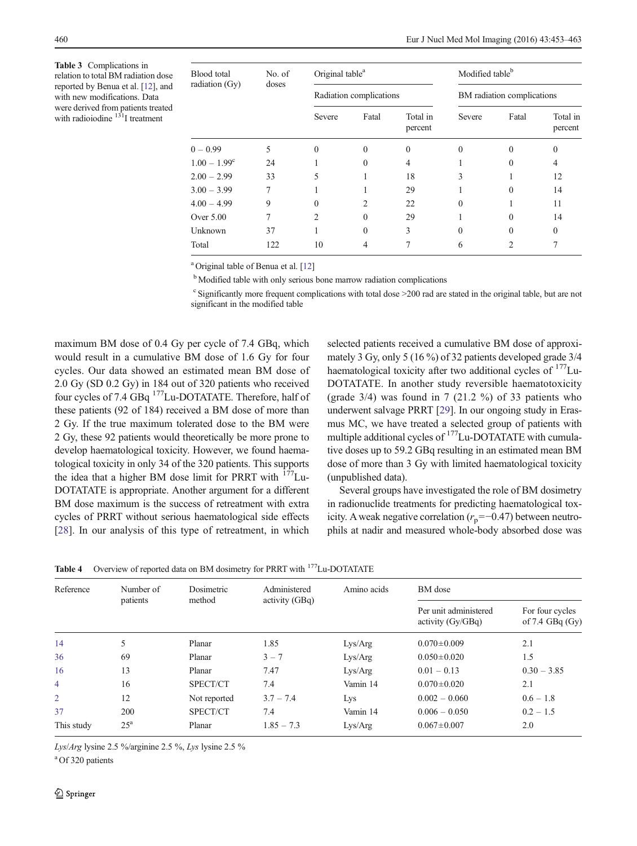<span id="page-7-0"></span>Table 3 Complications in relation to total BM radiation dose reported by Benua et al. [[12\]](#page-9-0), and with new modifications. Data were derived from patients treated<br>with radioiodine  $131$  I treatment

| <b>Blood</b> total<br>No. of |       | Original table <sup>a</sup> |          |                     | Modified table <sup>b</sup> |          |                     |
|------------------------------|-------|-----------------------------|----------|---------------------|-----------------------------|----------|---------------------|
| radiation (Gy)               | doses | Radiation complications     |          |                     | BM radiation complications  |          |                     |
|                              |       | Severe                      | Fatal    | Total in<br>percent | Severe                      | Fatal    | Total in<br>percent |
| $0 - 0.99$                   | 5     | $\Omega$                    | $\theta$ | $\Omega$            | $\Omega$                    | $\Omega$ | $\Omega$            |
| $1.00 - 1.99^c$              | 24    |                             | $\theta$ | 4                   |                             | $\Omega$ | 4                   |
| $2.00 - 2.99$                | 33    | 5                           |          | 18                  | 3                           |          | 12                  |
| $3.00 - 3.99$                | 7     |                             |          | 29                  |                             | $\Omega$ | 14                  |
| $4.00 - 4.99$                | 9     | $\Omega$                    | 2        | 22                  | $\Omega$                    |          | 11                  |
| Over $5.00$                  | 7     | $\mathfrak{D}$              | $\Omega$ | 29                  |                             | $\Omega$ | 14                  |
| Unknown                      | 37    |                             | $\theta$ | 3                   | $\Omega$                    | $\Omega$ | $\Omega$            |
| Total                        | 122   | 10                          | 4        |                     | 6                           | 2        | 7                   |

<sup>a</sup> Original table of Benua et al. [\[12\]](#page-9-0)

<sup>b</sup> Modified table with only serious bone marrow radiation complications

<sup>c</sup> Significantly more frequent complications with total dose >200 rad are stated in the original table, but are not significant in the modified table

maximum BM dose of 0.4 Gy per cycle of 7.4 GBq, which would result in a cumulative BM dose of 1.6 Gy for four cycles. Our data showed an estimated mean BM dose of 2.0 Gy (SD 0.2 Gy) in 184 out of 320 patients who received four cycles of 7.4 GBq<sup>177</sup>Lu-DOTATATE. Therefore, half of these patients (92 of 184) received a BM dose of more than 2 Gy. If the true maximum tolerated dose to the BM were 2 Gy, these 92 patients would theoretically be more prone to develop haematological toxicity. However, we found haematological toxicity in only 34 of the 320 patients. This supports the idea that a higher BM dose limit for PRRT with  $177$ Lu-DOTATATE is appropriate. Another argument for a different BM dose maximum is the success of retreatment with extra cycles of PRRT without serious haematological side effects [\[28](#page-9-0)]. In our analysis of this type of retreatment, in which

selected patients received a cumulative BM dose of approximately 3 Gy, only 5 (16 %) of 32 patients developed grade 3/4 haematological toxicity after two additional cycles of  $177$ Lu-DOTATATE. In another study reversible haematotoxicity (grade  $3/4$ ) was found in 7 (21.2 %) of 33 patients who underwent salvage PRRT [\[29\]](#page-9-0). In our ongoing study in Erasmus MC, we have treated a selected group of patients with multiple additional cycles of <sup>177</sup>Lu-DOTATATE with cumulative doses up to 59.2 GBq resulting in an estimated mean BM dose of more than 3 Gy with limited haematological toxicity (unpublished data).

Several groups have investigated the role of BM dosimetry in radionuclide treatments for predicting haematological toxicity. A weak negative correlation ( $r_p$ =−0.47) between neutrophils at nadir and measured whole-body absorbed dose was

Table 4 Overview of reported data on BM dosimetry for PRRT with <sup>177</sup>Lu-DOTATATE

| Reference      | Number of    | Dosimetric   | Administered   | Amino acids | BM dose                                      |                                        |
|----------------|--------------|--------------|----------------|-------------|----------------------------------------------|----------------------------------------|
|                | patients     | method       | activity (GBq) |             | Per unit administered<br>activity $(Gy/GBq)$ | For four cycles<br>of $7.4$ GBq $(Gy)$ |
| 14             | 5            | Planar       | 1.85           | Lys/Arg     | $0.070 \pm 0.009$                            | 2.1                                    |
| 36             | 69           | Planar       | $3 - 7$        | Lys/Arg     | $0.050 \pm 0.020$                            | 1.5                                    |
| 16             | 13           | Planar       | 7.47           | Lys/Arg     | $0.01 - 0.13$                                | $0.30 - 3.85$                          |
| $\overline{4}$ | 16           | SPECT/CT     | 7.4            | Vamin 14    | $0.070 \pm 0.020$                            | 2.1                                    |
| 2              | 12           | Not reported | $3.7 - 7.4$    | Lys         | $0.002 - 0.060$                              | $0.6 - 1.8$                            |
| 37             | 200          | SPECT/CT     | 7.4            | Vamin 14    | $0.006 - 0.050$                              | $0.2 - 1.5$                            |
| This study     | $25^{\rm a}$ | Planar       | $1.85 - 7.3$   | Lvs/Arg     | $0.067 \pm 0.007$                            | 2.0                                    |

Lys/Arg lysine 2.5 %/arginine 2.5 %, Lys lysine 2.5 %

<sup>a</sup> Of 320 patients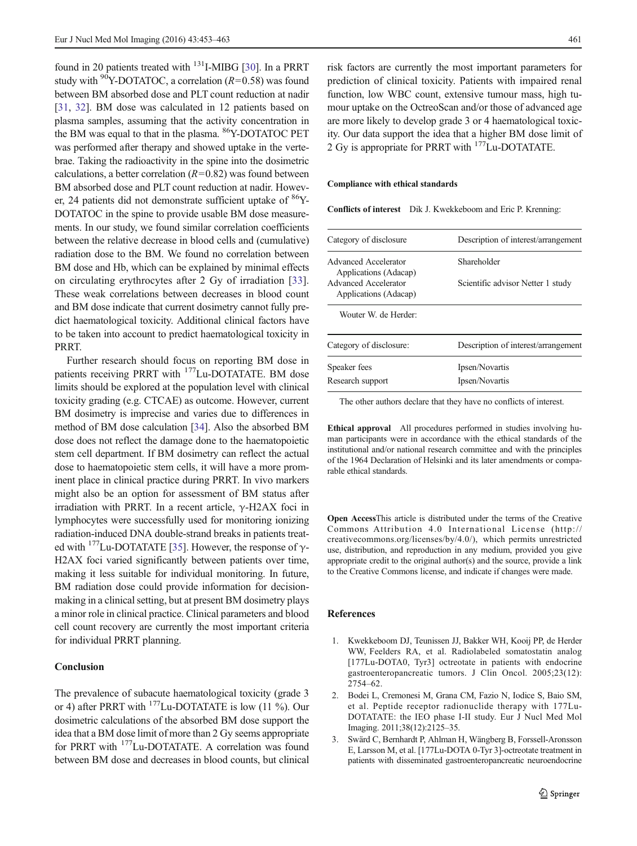<span id="page-8-0"></span>found in 20 patients treated with  $^{131}$ I-MIBG [\[30](#page-9-0)]. In a PRRT study with <sup>90</sup>Y-DOTATOC, a correlation ( $R=0.58$ ) was found between BM absorbed dose and PLT count reduction at nadir [\[31](#page-9-0), [32](#page-9-0)]. BM dose was calculated in 12 patients based on plasma samples, assuming that the activity concentration in the BM was equal to that in the plasma. <sup>86</sup>Y-DOTATOC PET was performed after therapy and showed uptake in the vertebrae. Taking the radioactivity in the spine into the dosimetric calculations, a better correlation  $(R=0.82)$  was found between BM absorbed dose and PLT count reduction at nadir. However, 24 patients did not demonstrate sufficient uptake of  $86Y$ -DOTATOC in the spine to provide usable BM dose measurements. In our study, we found similar correlation coefficients between the relative decrease in blood cells and (cumulative) radiation dose to the BM. We found no correlation between BM dose and Hb, which can be explained by minimal effects on circulating erythrocytes after 2 Gy of irradiation [\[33](#page-9-0)]. These weak correlations between decreases in blood count and BM dose indicate that current dosimetry cannot fully predict haematological toxicity. Additional clinical factors have to be taken into account to predict haematological toxicity in PRRT.

Further research should focus on reporting BM dose in patients receiving PRRT with <sup>177</sup>Lu-DOTATATE. BM dose limits should be explored at the population level with clinical toxicity grading (e.g. CTCAE) as outcome. However, current BM dosimetry is imprecise and varies due to differences in method of BM dose calculation [\[34](#page-9-0)]. Also the absorbed BM dose does not reflect the damage done to the haematopoietic stem cell department. If BM dosimetry can reflect the actual dose to haematopoietic stem cells, it will have a more prominent place in clinical practice during PRRT. In vivo markers might also be an option for assessment of BM status after irradiation with PRRT. In a recent article,  $\gamma$ -H2AX foci in lymphocytes were successfully used for monitoring ionizing radiation-induced DNA double-strand breaks in patients treated with  $177$ Lu-DOTATATE [\[35\]](#page-10-0). However, the response of  $\gamma$ -H2AX foci varied significantly between patients over time, making it less suitable for individual monitoring. In future, BM radiation dose could provide information for decisionmaking in a clinical setting, but at present BM dosimetry plays a minor role in clinical practice. Clinical parameters and blood cell count recovery are currently the most important criteria for individual PRRT planning.

# Conclusion

The prevalence of subacute haematological toxicity (grade 3 or 4) after PRRT with  $177$ Lu-DOTATATE is low (11 %). Our dosimetric calculations of the absorbed BM dose support the idea that a BM dose limit of more than 2 Gy seems appropriate for PRRT with <sup>177</sup>Lu-DOTATATE. A correlation was found between BM dose and decreases in blood counts, but clinical

risk factors are currently the most important parameters for prediction of clinical toxicity. Patients with impaired renal function, low WBC count, extensive tumour mass, high tumour uptake on the OctreoScan and/or those of advanced age are more likely to develop grade 3 or 4 haematological toxicity. Our data support the idea that a higher BM dose limit of 2 Gy is appropriate for PRRT with 177Lu-DOTATATE.

#### Compliance with ethical standards

Conflicts of interest Dik J. Kwekkeboom and Eric P. Krenning:

| Category of disclosure                        | Description of interest/arrangement |
|-----------------------------------------------|-------------------------------------|
|                                               |                                     |
| Advanced Accelerator<br>Applications (Adacap) | Shareholder                         |
| Advanced Accelerator<br>Applications (Adacap) | Scientific advisor Netter 1 study   |
| Wouter W de Herder:                           |                                     |
| Category of disclosure:                       | Description of interest/arrangement |
| Speaker fees                                  | Ipsen/Novartis                      |
| Research support                              | Ipsen/Novartis                      |

The other authors declare that they have no conflicts of interest.

Ethical approval All procedures performed in studies involving human participants were in accordance with the ethical standards of the institutional and/or national research committee and with the principles of the 1964 Declaration of Helsinki and its later amendments or comparable ethical standards.

Open AccessThis article is distributed under the terms of the Creative Commons Attribution 4.0 International License (http:// creativecommons.org/licenses/by/4.0/), which permits unrestricted use, distribution, and reproduction in any medium, provided you give appropriate credit to the original author(s) and the source, provide a link to the Creative Commons license, and indicate if changes were made.

#### References

- 1. Kwekkeboom DJ, Teunissen JJ, Bakker WH, Kooij PP, de Herder WW, Feelders RA, et al. Radiolabeled somatostatin analog [177Lu-DOTA0, Tyr3] octreotate in patients with endocrine gastroenteropancreatic tumors. J Clin Oncol. 2005;23(12): 2754–62.
- 2. Bodei L, Cremonesi M, Grana CM, Fazio N, Iodice S, Baio SM, et al. Peptide receptor radionuclide therapy with 177Lu-DOTATATE: the IEO phase I-II study. Eur J Nucl Med Mol Imaging. 2011;38(12):2125–35.
- 3. Swärd C, Bernhardt P, Ahlman H, Wängberg B, Forssell-Aronsson E, Larsson M, et al. [177Lu-DOTA 0-Tyr 3]-octreotate treatment in patients with disseminated gastroenteropancreatic neuroendocrine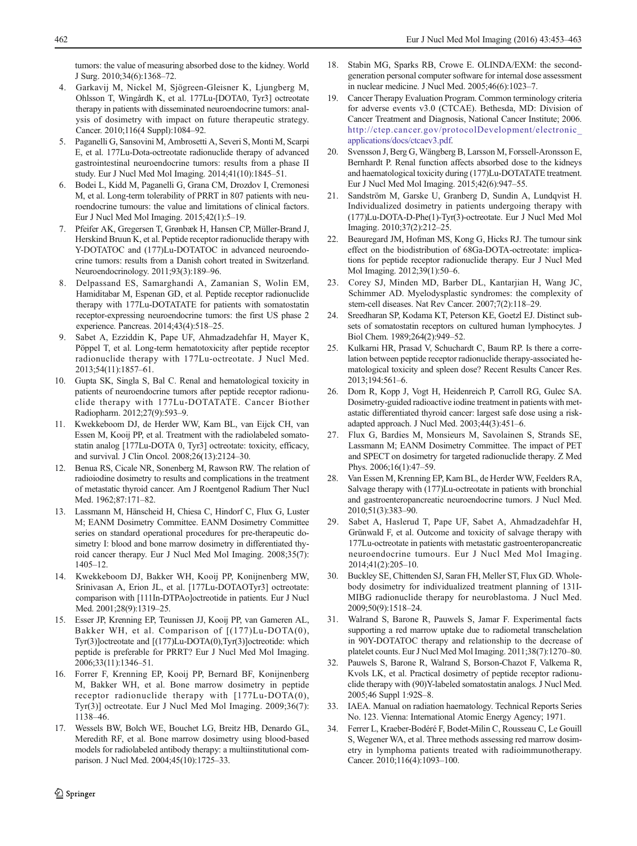<span id="page-9-0"></span>tumors: the value of measuring absorbed dose to the kidney. World J Surg. 2010;34(6):1368–72.

- 4. Garkavij M, Nickel M, Sjögreen-Gleisner K, Ljungberg M, Ohlsson T, Wingårdh K, et al. 177Lu-[DOTA0, Tyr3] octreotate therapy in patients with disseminated neuroendocrine tumors: analysis of dosimetry with impact on future therapeutic strategy. Cancer. 2010;116(4 Suppl):1084–92.
- 5. Paganelli G, Sansovini M, Ambrosetti A, Severi S, Monti M, Scarpi E, et al. 177Lu-Dota-octreotate radionuclide therapy of advanced gastrointestinal neuroendocrine tumors: results from a phase II study. Eur J Nucl Med Mol Imaging. 2014;41(10):1845–51.
- 6. Bodei L, Kidd M, Paganelli G, Grana CM, Drozdov I, Cremonesi M, et al. Long-term tolerability of PRRT in 807 patients with neuroendocrine tumours: the value and limitations of clinical factors. Eur J Nucl Med Mol Imaging. 2015;42(1):5–19.
- 7. Pfeifer AK, Gregersen T, Grønbæk H, Hansen CP, Müller-Brand J, Herskind Bruun K, et al. Peptide receptor radionuclide therapy with Y-DOTATOC and (177)Lu-DOTATOC in advanced neuroendocrine tumors: results from a Danish cohort treated in Switzerland. Neuroendocrinology. 2011;93(3):189–96.
- 8. Delpassand ES, Samarghandi A, Zamanian S, Wolin EM, Hamiditabar M, Espenan GD, et al. Peptide receptor radionuclide therapy with 177Lu-DOTATATE for patients with somatostatin receptor-expressing neuroendocrine tumors: the first US phase 2 experience. Pancreas. 2014;43(4):518–25.
- 9. Sabet A, Ezziddin K, Pape UF, Ahmadzadehfar H, Mayer K, Pöppel T, et al. Long-term hematotoxicity after peptide receptor radionuclide therapy with 177Lu-octreotate. J Nucl Med. 2013;54(11):1857–61.
- 10. Gupta SK, Singla S, Bal C. Renal and hematological toxicity in patients of neuroendocrine tumors after peptide receptor radionuclide therapy with 177Lu-DOTATATE. Cancer Biother Radiopharm. 2012;27(9):593–9.
- 11. Kwekkeboom DJ, de Herder WW, Kam BL, van Eijck CH, van Essen M, Kooij PP, et al. Treatment with the radiolabeled somatostatin analog [177Lu-DOTA 0, Tyr3] octreotate: toxicity, efficacy, and survival. J Clin Oncol. 2008;26(13):2124–30.
- 12. Benua RS, Cicale NR, Sonenberg M, Rawson RW. The relation of radioiodine dosimetry to results and complications in the treatment of metastatic thyroid cancer. Am J Roentgenol Radium Ther Nucl Med. 1962;87:171–82.
- 13. Lassmann M, Hänscheid H, Chiesa C, Hindorf C, Flux G, Luster M; EANM Dosimetry Committee. EANM Dosimetry Committee series on standard operational procedures for pre-therapeutic dosimetry I: blood and bone marrow dosimetry in differentiated thyroid cancer therapy. Eur J Nucl Med Mol Imaging. 2008;35(7): 1405–12.
- 14. Kwekkeboom DJ, Bakker WH, Kooij PP, Konijnenberg MW, Srinivasan A, Erion JL, et al. [177Lu-DOTAOTyr3] octreotate: comparison with [111In-DTPAo]octreotide in patients. Eur J Nucl Med. 2001;28(9):1319-25.
- 15. Esser JP, Krenning EP, Teunissen JJ, Kooij PP, van Gameren AL, Bakker WH, et al. Comparison of [(177)Lu-DOTA(0), Tyr(3)]octreotate and [(177)Lu-DOTA(0),Tyr(3)]octreotide: which peptide is preferable for PRRT? Eur J Nucl Med Mol Imaging. 2006;33(11):1346–51.
- 16. Forrer F, Krenning EP, Kooij PP, Bernard BF, Konijnenberg M, Bakker WH, et al. Bone marrow dosimetry in peptide receptor radionuclide therapy with [177Lu-DOTA(0), Tyr(3)] octreotate. Eur J Nucl Med Mol Imaging. 2009;36(7): 1138–46.
- 17. Wessels BW, Bolch WE, Bouchet LG, Breitz HB, Denardo GL, Meredith RF, et al. Bone marrow dosimetry using blood-based models for radiolabeled antibody therapy: a multiinstitutional comparison. J Nucl Med. 2004;45(10):1725–33.
- 18. Stabin MG, Sparks RB, Crowe E. OLINDA/EXM: the secondgeneration personal computer software for internal dose assessment in nuclear medicine. J Nucl Med. 2005;46(6):1023–7.
- 19. Cancer Therapy Evaluation Program. Common terminology criteria for adverse events v3.0 (CTCAE). Bethesda, MD: Division of Cancer Treatment and Diagnosis, National Cancer Institute; 2006. [http://ctep.cancer.gov/protocolDevelopment/electronic\\_](http://ctep.cancer.gov/protocolDevelopment/electronic_applications/docs/ctcaev3.pdf) [applications/docs/ctcaev3.pdf.](http://ctep.cancer.gov/protocolDevelopment/electronic_applications/docs/ctcaev3.pdf)
- 20. Svensson J, Berg G, Wängberg B, Larsson M, Forssell-Aronsson E, Bernhardt P. Renal function affects absorbed dose to the kidneys and haematological toxicity during (177)Lu-DOTATATE treatment. Eur J Nucl Med Mol Imaging. 2015;42(6):947–55.
- 21. Sandström M, Garske U, Granberg D, Sundin A, Lundqvist H. Individualized dosimetry in patients undergoing therapy with (177)Lu-DOTA-D-Phe(1)-Tyr(3)-octreotate. Eur J Nucl Med Mol Imaging. 2010;37(2):212–25.
- 22. Beauregard JM, Hofman MS, Kong G, Hicks RJ. The tumour sink effect on the biodistribution of 68Ga-DOTA-octreotate: implications for peptide receptor radionuclide therapy. Eur J Nucl Med Mol Imaging. 2012;39(1):50–6.
- 23. Corey SJ, Minden MD, Barber DL, Kantarjian H, Wang JC, Schimmer AD. Myelodysplastic syndromes: the complexity of stem-cell diseases. Nat Rev Cancer. 2007;7(2):118–29.
- 24. Sreedharan SP, Kodama KT, Peterson KE, Goetzl EJ. Distinct subsets of somatostatin receptors on cultured human lymphocytes. J Biol Chem. 1989;264(2):949–52.
- 25. Kulkarni HR, Prasad V, Schuchardt C, Baum RP. Is there a correlation between peptide receptor radionuclide therapy-associated hematological toxicity and spleen dose? Recent Results Cancer Res. 2013;194:561–6.
- 26. Dorn R, Kopp J, Vogt H, Heidenreich P, Carroll RG, Gulec SA. Dosimetry-guided radioactive iodine treatment in patients with metastatic differentiated thyroid cancer: largest safe dose using a riskadapted approach. J Nucl Med. 2003;44(3):451–6.
- 27. Flux G, Bardies M, Monsieurs M, Savolainen S, Strands SE, Lassmann M; EANM Dosimetry Committee. The impact of PET and SPECT on dosimetry for targeted radionuclide therapy. Z Med Phys. 2006;16(1):47–59.
- 28. Van Essen M, Krenning EP, Kam BL, de Herder WW, Feelders RA, Salvage therapy with (177)Lu-octreotate in patients with bronchial and gastroenteropancreatic neuroendocrine tumors. J Nucl Med. 2010;51(3):383–90.
- 29. Sabet A, Haslerud T, Pape UF, Sabet A, Ahmadzadehfar H, Grünwald F, et al. Outcome and toxicity of salvage therapy with 177Lu-octreotate in patients with metastatic gastroenteropancreatic neuroendocrine tumours. Eur J Nucl Med Mol Imaging. 2014;41(2):205–10.
- 30. Buckley SE, Chittenden SJ, Saran FH, Meller ST, Flux GD. Wholebody dosimetry for individualized treatment planning of 131I-MIBG radionuclide therapy for neuroblastoma. J Nucl Med. 2009;50(9):1518–24.
- 31. Walrand S, Barone R, Pauwels S, Jamar F. Experimental facts supporting a red marrow uptake due to radiometal transchelation in 90Y-DOTATOC therapy and relationship to the decrease of platelet counts. Eur J Nucl Med Mol Imaging. 2011;38(7):1270–80.
- 32. Pauwels S, Barone R, Walrand S, Borson-Chazot F, Valkema R, Kvols LK, et al. Practical dosimetry of peptide receptor radionuclide therapy with (90)Y-labeled somatostatin analogs. J Nucl Med. 2005;46 Suppl 1:92S–8.
- 33. IAEA. Manual on radiation haematology. Technical Reports Series No. 123. Vienna: International Atomic Energy Agency; 1971.
- 34. Ferrer L, Kraeber-Bodéré F, Bodet-Milin C, Rousseau C, Le Gouill S, Wegener WA, et al. Three methods assessing red marrow dosimetry in lymphoma patients treated with radioimmunotherapy. Cancer. 2010;116(4):1093–100.